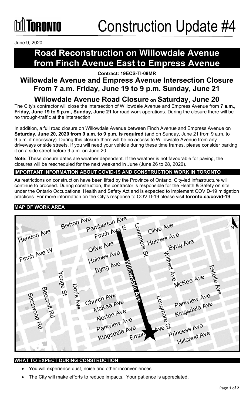June 9, 2020

## **Road Reconstruction on Willowdale Avenue from Finch Avenue East to Empress Avenue**

**Contract: 19ECS-TI-09MR**

### **Willowdale Avenue and Empress Avenue Intersection Closure From 7 a.m. Friday, June 19 to 9 p.m. Sunday, June 21**

### **Willowdale Avenue Road Closure on Saturday, June 20**

The City's contractor will close the intersection of Willowdale Avenue and Empress Avenue from **7 a.m., Friday, June 19 to 9 p.m., Sunday, June 21** for road work operations. During the closure there will be no through-traffic at the intersection.

In addition, a full road closure on Willowdale Avenue between Finch Avenue and Empress Avenue on **Saturday, June 20, 2020 from 9 a.m. to 9 p.m. is required** (and on Sunday, June 21 from 9 a.m. to 9 p.m. if necessary). During this closure there will be no access to Willowdale Avenue from any driveways or side streets. If you will need your vehicle during these time frames, please consider parking it on a side street before 9 a.m. on June 20.

**Note:** These closure dates are weather dependent. If the weather is not favourable for paving, the closures will be rescheduled for the next weekend in June (June 26 to 28, 2020).

#### **IMPORTANT INFORMATION ABOUT COVID-19 AND CONSTRUCTION WORK IN TORONTO**

As restrictions on construction have been lifted by the Province of Ontario, City-led infrastructure will continue to proceed. During construction, the contractor is responsible for the Health & Safety on site under the Ontario Occupational Health and Safety Act and is expected to implement COVID-19 mitigation practices. For more information on the City's response to COVID-19 please visit **[toronto.ca/covid-19](http://www.toronto.ca/covid-19)**.

#### **MAP OF WORK AREA**

| Hendon Ave<br>Finch Ave W          | <b>Bishop Ave</b>               | Pemberton Ave<br>Finch Ave E<br>Olive Ave<br>Holmes Ave<br>Byng Ave    | Olive Ave<br>Longmore<br>Holmes Ave<br>à<br>Wiltred      | Byng Ave                                                                                                    |            |
|------------------------------------|---------------------------------|------------------------------------------------------------------------|----------------------------------------------------------|-------------------------------------------------------------------------------------------------------------|------------|
| Beecroft Rd<br>Basswood<br>$\beta$ | <b>Yonge St</b><br>Doris<br>Ave | Church Ave<br>McKee Ave<br>Norton Ave<br>Parkview Ave<br>Kingsdale Ave | <b>Homolage</b><br><b>ZV</b><br>ongmore<br>Aven<br>Empre | Estelle<br><b>Ave</b><br>McKee Ave<br>Parkview Ave<br>Kingsdale Ave<br>Princess Ave<br><b>Hillcrest Ave</b> | <b>Ave</b> |

#### **WHAT TO EXPECT DURING CONSTRUCTION**

- You will experience dust, noise and other inconveniences.
- The City will make efforts to reduce impacts. Your patience is appreciated.